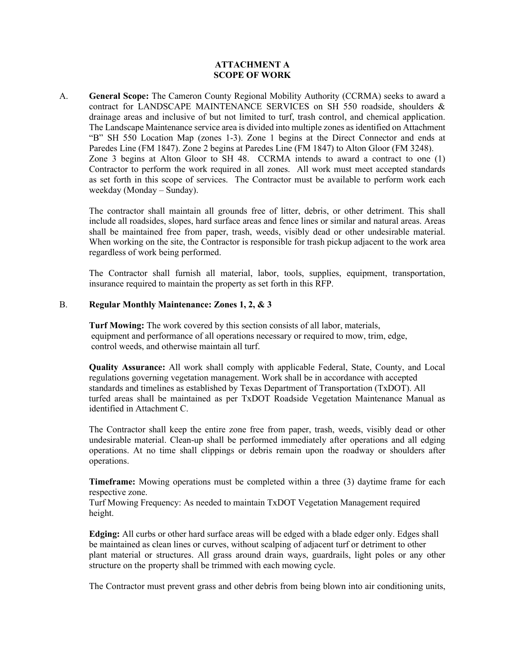### **ATTACHMENT A SCOPE OF WORK**

A. **General Scope:** The Cameron County Regional Mobility Authority (CCRMA) seeks to award a contract for LANDSCAPE MAINTENANCE SERVICES on SH 550 roadside, shoulders & drainage areas and inclusive of but not limited to turf, trash control, and chemical application. The Landscape Maintenance service area is divided into multiple zones as identified on Attachment "B" SH 550 Location Map (zones 1-3). Zone 1 begins at the Direct Connector and ends at Paredes Line (FM 1847). Zone 2 begins at Paredes Line (FM 1847) to Alton Gloor (FM 3248). Zone 3 begins at Alton Gloor to SH 48. CCRMA intends to award a contract to one (1) Contractor to perform the work required in all zones. All work must meet accepted standards as set forth in this scope of services. The Contractor must be available to perform work each weekday (Monday – Sunday).

The contractor shall maintain all grounds free of litter, debris, or other detriment. This shall include all roadsides, slopes, hard surface areas and fence lines or similar and natural areas. Areas shall be maintained free from paper, trash, weeds, visibly dead or other undesirable material. When working on the site, the Contractor is responsible for trash pickup adjacent to the work area regardless of work being performed.

The Contractor shall furnish all material, labor, tools, supplies, equipment, transportation, insurance required to maintain the property as set forth in this RFP.

## B. **Regular Monthly Maintenance: Zones 1, 2, & 3**

**Turf Mowing:** The work covered by this section consists of all labor, materials, equipment and performance of all operations necessary or required to mow, trim, edge, control weeds, and otherwise maintain all turf.

**Quality Assurance:** All work shall comply with applicable Federal, State, County, and Local regulations governing vegetation management. Work shall be in accordance with accepted standards and timelines as established by Texas Department of Transportation (TxDOT). All turfed areas shall be maintained as per TxDOT Roadside Vegetation Maintenance Manual as identified in Attachment C.

 The Contractor shall keep the entire zone free from paper, trash, weeds, visibly dead or other undesirable material. Clean-up shall be performed immediately after operations and all edging operations. At no time shall clippings or debris remain upon the roadway or shoulders after operations.

**Timeframe:** Mowing operations must be completed within a three (3) daytime frame for each respective zone.

Turf Mowing Frequency: As needed to maintain TxDOT Vegetation Management required height.

**Edging:** All curbs or other hard surface areas will be edged with a blade edger only. Edges shall be maintained as clean lines or curves, without scalping of adjacent turf or detriment to other plant material or structures. All grass around drain ways, guardrails, light poles or any other structure on the property shall be trimmed with each mowing cycle.

The Contractor must prevent grass and other debris from being blown into air conditioning units,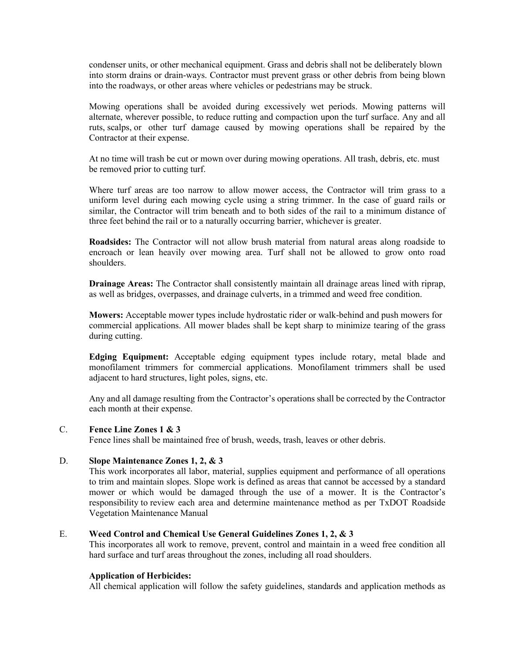condenser units, or other mechanical equipment. Grass and debris shall not be deliberately blown into storm drains or drain-ways. Contractor must prevent grass or other debris from being blown into the roadways, or other areas where vehicles or pedestrians may be struck.

Mowing operations shall be avoided during excessively wet periods. Mowing patterns will alternate, wherever possible, to reduce rutting and compaction upon the turf surface. Any and all ruts, scalps, or other turf damage caused by mowing operations shall be repaired by the Contractor at their expense.

At no time will trash be cut or mown over during mowing operations. All trash, debris, etc. must be removed prior to cutting turf.

Where turf areas are too narrow to allow mower access, the Contractor will trim grass to a uniform level during each mowing cycle using a string trimmer. In the case of guard rails or similar, the Contractor will trim beneath and to both sides of the rail to a minimum distance of three feet behind the rail or to a naturally occurring barrier, whichever is greater.

**Roadsides:** The Contractor will not allow brush material from natural areas along roadside to encroach or lean heavily over mowing area. Turf shall not be allowed to grow onto road shoulders.

**Drainage Areas:** The Contractor shall consistently maintain all drainage areas lined with riprap, as well as bridges, overpasses, and drainage culverts, in a trimmed and weed free condition.

**Mowers:** Acceptable mower types include hydrostatic rider or walk-behind and push mowers for commercial applications. All mower blades shall be kept sharp to minimize tearing of the grass during cutting.

**Edging Equipment:** Acceptable edging equipment types include rotary, metal blade and monofilament trimmers for commercial applications. Monofilament trimmers shall be used adjacent to hard structures, light poles, signs, etc.

Any and all damage resulting from the Contractor's operations shall be corrected by the Contractor each month at their expense.

#### C. **Fence Line Zones 1 & 3**

Fence lines shall be maintained free of brush, weeds, trash, leaves or other debris.

#### D. **Slope Maintenance Zones 1, 2, & 3**

This work incorporates all labor, material, supplies equipment and performance of all operations to trim and maintain slopes. Slope work is defined as areas that cannot be accessed by a standard mower or which would be damaged through the use of a mower. It is the Contractor's responsibility to review each area and determine maintenance method as per TxDOT Roadside Vegetation Maintenance Manual

#### E. **Weed Control and Chemical Use General Guidelines Zones 1, 2, & 3**

This incorporates all work to remove, prevent, control and maintain in a weed free condition all hard surface and turf areas throughout the zones, including all road shoulders.

# **Application of Herbicides:**

All chemical application will follow the safety guidelines, standards and application methods as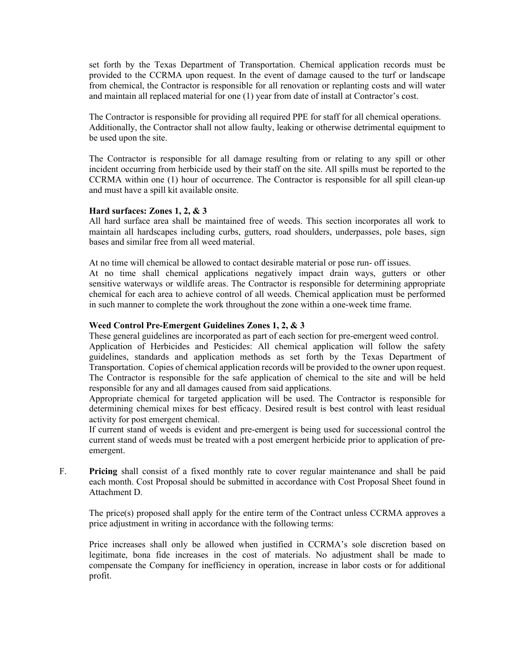set forth by the Texas Department of Transportation. Chemical application records must be provided to the CCRMA upon request. In the event of damage caused to the turf or landscape from chemical, the Contractor is responsible for all renovation or replanting costs and will water and maintain all replaced material for one (1) year from date of install at Contractor's cost.

The Contractor is responsible for providing all required PPE for staff for all chemical operations. Additionally, the Contractor shall not allow faulty, leaking or otherwise detrimental equipment to be used upon the site.

The Contractor is responsible for all damage resulting from or relating to any spill or other incident occurring from herbicide used by their staff on the site. All spills must be reported to the CCRMA within one (1) hour of occurrence. The Contractor is responsible for all spill clean-up and must have a spill kit available onsite.

## **Hard surfaces: Zones 1, 2, & 3**

All hard surface area shall be maintained free of weeds. This section incorporates all work to maintain all hardscapes including curbs, gutters, road shoulders, underpasses, pole bases, sign bases and similar free from all weed material.

At no time will chemical be allowed to contact desirable material or pose run- off issues.

At no time shall chemical applications negatively impact drain ways, gutters or other sensitive waterways or wildlife areas. The Contractor is responsible for determining appropriate chemical for each area to achieve control of all weeds. Chemical application must be performed in such manner to complete the work throughout the zone within a one-week time frame.

## **Weed Control Pre-Emergent Guidelines Zones 1, 2, & 3**

These general guidelines are incorporated as part of each section for pre-emergent weed control.

Application of Herbicides and Pesticides: All chemical application will follow the safety guidelines, standards and application methods as set forth by the Texas Department of Transportation. Copies of chemical application records will be provided to the owner upon request. The Contractor is responsible for the safe application of chemical to the site and will be held responsible for any and all damages caused from said applications.

Appropriate chemical for targeted application will be used. The Contractor is responsible for determining chemical mixes for best efficacy. Desired result is best control with least residual activity for post emergent chemical.

If current stand of weeds is evident and pre-emergent is being used for successional control the current stand of weeds must be treated with a post emergent herbicide prior to application of preemergent.

F. **Pricing** shall consist of a fixed monthly rate to cover regular maintenance and shall be paid each month. Cost Proposal should be submitted in accordance with Cost Proposal Sheet found in Attachment D.

The price(s) proposed shall apply for the entire term of the Contract unless CCRMA approves a price adjustment in writing in accordance with the following terms:

Price increases shall only be allowed when justified in CCRMA's sole discretion based on legitimate, bona fide increases in the cost of materials. No adjustment shall be made to compensate the Company for inefficiency in operation, increase in labor costs or for additional profit.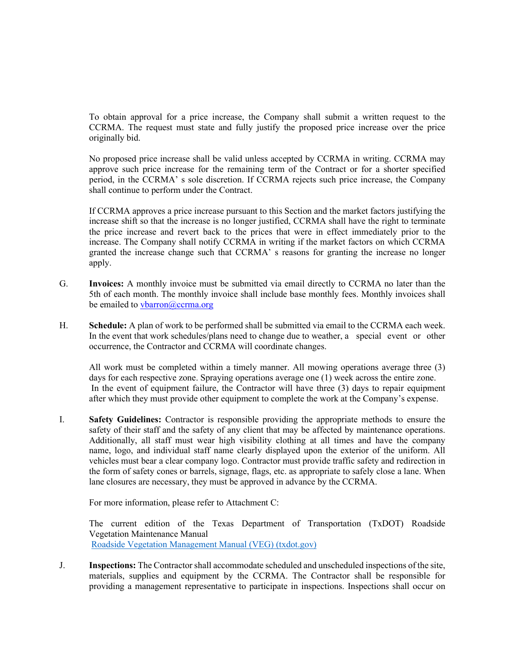To obtain approval for a price increase, the Company shall submit a written request to the CCRMA. The request must state and fully justify the proposed price increase over the price originally bid.

No proposed price increase shall be valid unless accepted by CCRMA in writing. CCRMA may approve such price increase for the remaining term of the Contract or for a shorter specified period, in the CCRMA' s sole discretion. If CCRMA rejects such price increase, the Company shall continue to perform under the Contract.

If CCRMA approves a price increase pursuant to this Section and the market factors justifying the increase shift so that the increase is no longer justified, CCRMA shall have the right to terminate the price increase and revert back to the prices that were in effect immediately prior to the increase. The Company shall notify CCRMA in writing if the market factors on which CCRMA granted the increase change such that CCRMA' s reasons for granting the increase no longer apply.

- G. **Invoices:** A monthly invoice must be submitted via email directly to CCRMA no later than the 5th of each month. The monthly invoice shall include base monthly fees. Monthly invoices shall be emailed to [vbarron@ccrma.org](mailto:vbarron@ccrma.org)
- H. **Schedule:** A plan of work to be performed shall be submitted via email to the CCRMA each week. In the event that work schedules/plans need to change due to weather, a special event or other occurrence, the Contractor and CCRMA will coordinate changes.

All work must be completed within a timely manner. All mowing operations average three (3) days for each respective zone. Spraying operations average one (1) week across the entire zone. In the event of equipment failure, the Contractor will have three (3) days to repair equipment after which they must provide other equipment to complete the work at the Company's expense.

I. **Safety Guidelines:** Contractor is responsible providing the appropriate methods to ensure the safety of their staff and the safety of any client that may be affected by maintenance operations. Additionally, all staff must wear high visibility clothing at all times and have the company name, logo, and individual staff name clearly displayed upon the exterior of the uniform. All vehicles must bear a clear company logo. Contractor must provide traffic safety and redirection in the form of safety cones or barrels, signage, flags, etc. as appropriate to safely close a lane. When lane closures are necessary, they must be approved in advance by the CCRMA.

For more information, please refer to Attachment C:

The current edition of the Texas Department of Transportation (TxDOT) Roadside Vegetation Maintenance Manual [Roadside Vegetation Management Manual \(VEG\) \(txdot.gov\)](http://onlinemanuals.txdot.gov/txdotmanuals/veg/veg.pdf)

J. **Inspections:** The Contractor shall accommodate scheduled and unscheduled inspections of the site, materials, supplies and equipment by the CCRMA. The Contractor shall be responsible for providing a management representative to participate in inspections. Inspections shall occur on